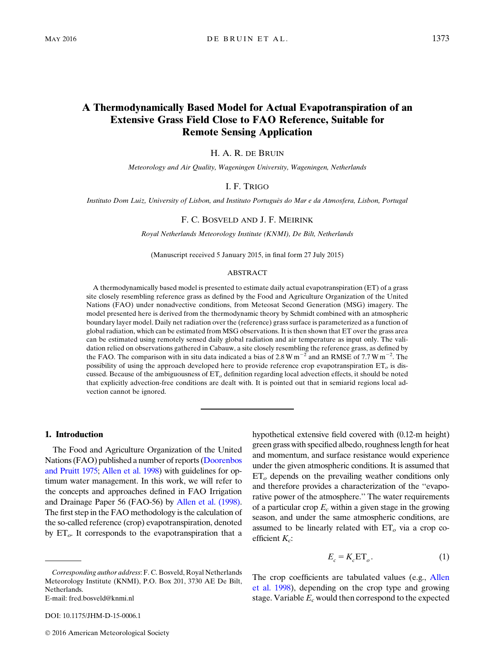# A Thermodynamically Based Model for Actual Evapotranspiration of an Extensive Grass Field Close to FAO Reference, Suitable for Remote Sensing Application

H. A. R. DE BRUIN

Meteorology and Air Quality, Wageningen University, Wageningen, Netherlands

## I. F. TRIGO

Instituto Dom Luiz, University of Lisbon, and Instituto Portugues do Mar e da Atmosfera, Lisbon, Portugal ^

### F. C. BOSVELD AND J. F. MEIRINK

Royal Netherlands Meteorology Institute (KNMI), De Bilt, Netherlands

(Manuscript received 5 January 2015, in final form 27 July 2015)

#### ABSTRACT

A thermodynamically based model is presented to estimate daily actual evapotranspiration (ET) of a grass site closely resembling reference grass as defined by the Food and Agriculture Organization of the United Nations (FAO) under nonadvective conditions, from Meteosat Second Generation (MSG) imagery. The model presented here is derived from the thermodynamic theory by Schmidt combined with an atmospheric boundary layer model. Daily net radiation over the (reference) grass surface is parameterized as a function of global radiation, which can be estimated from MSG observations. It is then shown that ET over the grass area can be estimated using remotely sensed daily global radiation and air temperature as input only. The validation relied on observations gathered in Cabauw, a site closely resembling the reference grass, as defined by the FAO. The comparison with in situ data indicated a bias of 2.8 W  $\text{m}^{-2}$  and an RMSE of 7.7 W  $\text{m}^{-2}$ . The possibility of using the approach developed here to provide reference crop evapotranspiration  $ET<sub>o</sub>$  is discussed. Because of the ambiguousness of  $ET<sub>o</sub>$  definition regarding local advection effects, it should be noted that explicitly advection-free conditions are dealt with. It is pointed out that in semiarid regions local advection cannot be ignored.

### 1. Introduction

The Food and Agriculture Organization of the United Nations (FAO) published a number of reports ([Doorenbos](#page-8-0) [and Pruitt 1975;](#page-8-0) [Allen et al. 1998](#page-8-1)) with guidelines for optimum water management. In this work, we will refer to the concepts and approaches defined in FAO Irrigation and Drainage Paper 56 (FAO-56) by [Allen et al. \(1998\).](#page-8-1) The first step in the FAO methodology is the calculation of the so-called reference (crop) evapotranspiration, denoted by  $ET_{\alpha}$ . It corresponds to the evapotranspiration that a hypothetical extensive field covered with (0.12-m height) green grass with specified albedo, roughness length for heat and momentum, and surface resistance would experience under the given atmospheric conditions. It is assumed that  $ET<sub>o</sub>$  depends on the prevailing weather conditions only and therefore provides a characterization of the ''evaporative power of the atmosphere.'' The water requirements of a particular crop  $E_c$  within a given stage in the growing season, and under the same atmospheric conditions, are assumed to be linearly related with  $ET<sub>o</sub>$  via a crop coefficient  $K_c$ :

$$
E_c = K_c \text{ET}_o. \tag{1}
$$

Corresponding author address: F. C. Bosveld, Royal Netherlands Meteorology Institute (KNMI), P.O. Box 201, 3730 AE De Bilt, Netherlands.

E-mail: [fred.bosveld@knmi.nl](mailto:fred.bosveld@knmi.nl)

DOI: 10.1175/JHM-D-15-0006.1

The crop coefficients are tabulated values (e.g., [Allen](#page-8-1) [et al. 1998\)](#page-8-1), depending on the crop type and growing stage. Variable  $E_c$  would then correspond to the expected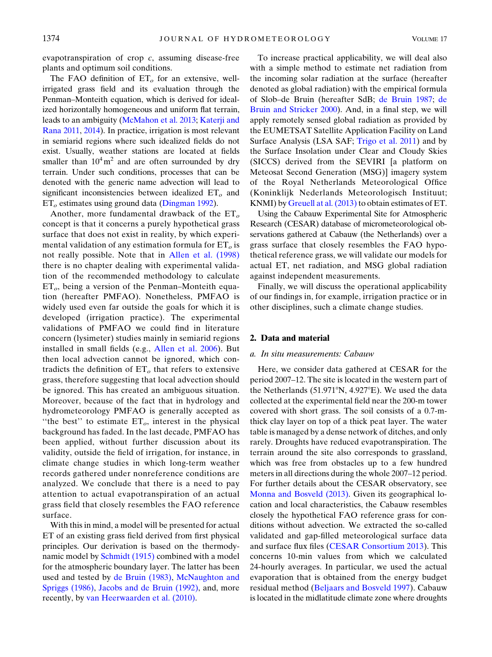evapotranspiration of crop c, assuming disease-free plants and optimum soil conditions.

The FAO definition of  $ET<sub>o</sub>$  for an extensive, wellirrigated grass field and its evaluation through the Penman–Monteith equation, which is derived for idealized horizontally homogeneous and uniform flat terrain, leads to an ambiguity ([McMahon et al. 2013;](#page-9-0) [Katerji and](#page-9-1) [Rana 2011,](#page-9-1) [2014](#page-9-2)). In practice, irrigation is most relevant in semiarid regions where such idealized fields do not exist. Usually, weather stations are located at fields smaller than  $10^4 \text{ m}^2$  and are often surrounded by dry terrain. Under such conditions, processes that can be denoted with the generic name advection will lead to significant inconsistencies between idealized  $ET<sub>o</sub>$  and  $ET<sub>o</sub>$  estimates using ground data [\(Dingman 1992\)](#page-8-2).

Another, more fundamental drawback of the  $ET_{o}$ concept is that it concerns a purely hypothetical grass surface that does not exist in reality, by which experimental validation of any estimation formula for  $ET<sub>o</sub>$  is not really possible. Note that in [Allen et al. \(1998\)](#page-8-1) there is no chapter dealing with experimental validation of the recommended methodology to calculate  $ET<sub>o</sub>$ , being a version of the Penman–Monteith equation (hereafter PMFAO). Nonetheless, PMFAO is widely used even far outside the goals for which it is developed (irrigation practice). The experimental validations of PMFAO we could find in literature concern (lysimeter) studies mainly in semiarid regions installed in small fields (e.g., [Allen et al. 2006\)](#page-8-3). But then local advection cannot be ignored, which contradicts the definition of  $ET<sub>o</sub>$  that refers to extensive grass, therefore suggesting that local advection should be ignored. This has created an ambiguous situation. Moreover, because of the fact that in hydrology and hydrometeorology PMFAO is generally accepted as "the best" to estimate  $ET<sub>o</sub>$ , interest in the physical background has faded. In the last decade, PMFAO has been applied, without further discussion about its validity, outside the field of irrigation, for instance, in climate change studies in which long-term weather records gathered under nonreference conditions are analyzed. We conclude that there is a need to pay attention to actual evapotranspiration of an actual grass field that closely resembles the FAO reference surface.

With this in mind, a model will be presented for actual ET of an existing grass field derived from first physical principles. Our derivation is based on the thermody-namic model by [Schmidt \(1915\)](#page-9-3) combined with a model for the atmospheric boundary layer. The latter has been used and tested by [de Bruin \(1983\),](#page-8-4) [McNaughton and](#page-9-4) [Spriggs \(1986\)](#page-9-4), [Jacobs and de Bruin \(1992\)](#page-9-5), and, more recently, by [van Heerwaarden et al. \(2010\).](#page-9-6)

To increase practical applicability, we will deal also with a simple method to estimate net radiation from the incoming solar radiation at the surface (hereafter denoted as global radiation) with the empirical formula of Slob–de Bruin (hereafter SdB; [de Bruin 1987](#page-8-5); [de](#page-8-6) [Bruin and Stricker 2000\)](#page-8-6). And, in a final step, we will apply remotely sensed global radiation as provided by the EUMETSAT Satellite Application Facility on Land Surface Analysis (LSA SAF; [Trigo et al. 2011](#page-9-7)) and by the Surface Insolation under Clear and Cloudy Skies (SICCS) derived from the SEVIRI [a platform on Meteosat Second Generation (MSG)] imagery system of the Royal Netherlands Meteorological Office (Koninklijk Nederlands Meteorologisch Instituut; KNMI) by Greuell at al.  $(2013)$  to obtain estimates of ET.

Using the Cabauw Experimental Site for Atmospheric Research (CESAR) database of micrometeorological observations gathered at Cabauw (the Netherlands) over a grass surface that closely resembles the FAO hypothetical reference grass, we will validate our models for actual ET, net radiation, and MSG global radiation against independent measurements.

Finally, we will discuss the operational applicability of our findings in, for example, irrigation practice or in other disciplines, such a climate change studies.

## 2. Data and material

### a. In situ measurements: Cabauw

Here, we consider data gathered at CESAR for the period 2007–12. The site is located in the western part of the Netherlands (51.971 $\textdegree N$ , 4.927 $\textdegree E$ ). We used the data collected at the experimental field near the 200-m tower covered with short grass. The soil consists of a 0.7-mthick clay layer on top of a thick peat layer. The water table is managed by a dense network of ditches, and only rarely. Droughts have reduced evapotranspiration. The terrain around the site also corresponds to grassland, which was free from obstacles up to a few hundred meters in all directions during the whole 2007–12 period. For further details about the CESAR observatory, see [Monna and Bosveld \(2013\).](#page-9-9) Given its geographical location and local characteristics, the Cabauw resembles closely the hypothetical FAO reference grass for conditions without advection. We extracted the so-called validated and gap-filled meteorological surface data and surface flux files ([CESAR Consortium 2013](#page-8-7)). This concerns 10-min values from which we calculated 24-hourly averages. In particular, we used the actual evaporation that is obtained from the energy budget residual method [\(Beljaars and Bosveld 1997](#page-8-8)). Cabauw is located in the midlatitude climate zone where droughts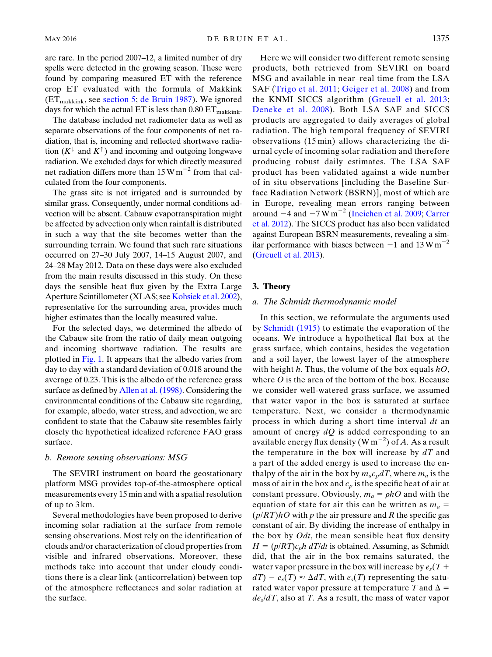The database included net radiometer data as well as separate observations of the four components of net radiation, that is, incoming and reflected shortwave radiation  $(K^{\downarrow}$  and  $K^{\uparrow}$ ) and incoming and outgoing longwave radiation. We excluded days for which directly measured net radiation differs more than  $15 \text{W m}^{-2}$  from that calculated from the four components.

The grass site is not irrigated and is surrounded by similar grass. Consequently, under normal conditions advection will be absent. Cabauw evapotranspiration might be affected by advection only when rainfall is distributed in such a way that the site becomes wetter than the surrounding terrain. We found that such rare situations occurred on 27–30 July 2007, 14–15 August 2007, and 24–28 May 2012. Data on these days were also excluded from the main results discussed in this study. On these days the sensible heat flux given by the Extra Large Aperture Scintillometer (XLAS; see [Kohsiek et al. 2002](#page-9-10)), representative for the surrounding area, provides much higher estimates than the locally measured value.

For the selected days, we determined the albedo of the Cabauw site from the ratio of daily mean outgoing and incoming shortwave radiation. The results are plotted in [Fig. 1.](#page-3-0) It appears that the albedo varies from day to day with a standard deviation of 0.018 around the average of 0.23. This is the albedo of the reference grass surface as defined by [Allen at al. \(1998\).](#page-8-1) Considering the environmental conditions of the Cabauw site regarding, for example, albedo, water stress, and advection, we are confident to state that the Cabauw site resembles fairly closely the hypothetical idealized reference FAO grass surface.

### b. Remote sensing observations: MSG

The SEVIRI instrument on board the geostationary platform MSG provides top-of-the-atmosphere optical measurements every 15 min and with a spatial resolution of up to 3 km.

Several methodologies have been proposed to derive incoming solar radiation at the surface from remote sensing observations. Most rely on the identification of clouds and/or characterization of cloud properties from visible and infrared observations. Moreover, these methods take into account that under cloudy conditions there is a clear link (anticorrelation) between top of the atmosphere reflectances and solar radiation at the surface.

Here we will consider two different remote sensing products, both retrieved from SEVIRI on board MSG and available in near–real time from the LSA SAF [\(Trigo et al. 2011;](#page-9-7) [Geiger et al. 2008\)](#page-8-9) and from the KNMI SICCS algorithm [\(Greuell et al. 2013;](#page-9-8) [Deneke et al. 2008\)](#page-8-10). Both LSA SAF and SICCS products are aggregated to daily averages of global radiation. The high temporal frequency of SEVIRI observations (15 min) allows characterizing the diurnal cycle of incoming solar radiation and therefore producing robust daily estimates. The LSA SAF product has been validated against a wide number of in situ observations [including the Baseline Surface Radiation Network (BSRN)], most of which are in Europe, revealing mean errors ranging between around  $-4$  and  $-7$  W m<sup>-2</sup> [\(Ineichen et al. 2009;](#page-9-11) [Carrer](#page-8-11) [et al. 2012](#page-8-11)). The SICCS product has also been validated against European BSRN measurements, revealing a similar performance with biases between  $-1$  and  $13 \text{ W m}^{-2}$ [\(Greuell et al. 2013](#page-9-8)).

## 3. Theory

## a. The Schmidt thermodynamic model

In this section, we reformulate the arguments used by [Schmidt \(1915\)](#page-9-3) to estimate the evaporation of the oceans. We introduce a hypothetical flat box at the grass surface, which contains, besides the vegetation and a soil layer, the lowest layer of the atmosphere with height h. Thus, the volume of the box equals  $hO$ , where  $O$  is the area of the bottom of the box. Because we consider well-watered grass surface, we assumed that water vapor in the box is saturated at surface temperature. Next, we consider a thermodynamic process in which during a short time interval dt an amount of energy  $dQ$  is added corresponding to an available energy flux density  $(Wm^{-2})$  of A. As a result the temperature in the box will increase by  $dT$  and a part of the added energy is used to increase the enthalpy of the air in the box by  $m_a c_p dT$ , where  $m_a$  is the mass of air in the box and  $c_p$  is the specific heat of air at constant pressure. Obviously,  $m_a = \rho hO$  and with the equation of state for air this can be written as  $m_a =$  $(p/RT)$ hO with p the air pressure and R the specific gas constant of air. By dividing the increase of enthalpy in the box by  $Odt$ , the mean sensible heat flux density  $H = (p/RT)c_ph$  dT/dt is obtained. Assuming, as Schmidt did, that the air in the box remains saturated, the water vapor pressure in the box will increase by  $e_s(T +$  $dT - e_s(T) \approx \Delta dT$ , with  $e_s(T)$  representing the saturated water vapor pressure at temperature T and  $\Delta$  =  $de_s/dT$ , also at T. As a result, the mass of water vapor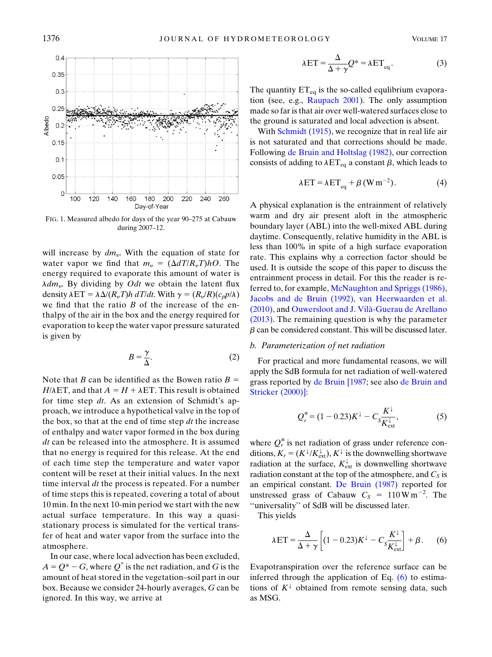<span id="page-3-0"></span>

FIG. 1. Measured albedo for days of the year 90–275 at Cabauw during 2007–12.

will increase by  $dm_v$ . With the equation of state for water vapor we find that  $m_v = (\Delta dT/R_vT)hO$ . The energy required to evaporate this amount of water is  $\lambda dm_v$ . By dividing by *Odt* we obtain the latent flux density  $\lambda ET = \lambda \Delta/(R_vT)h dT/dt$ . With  $\gamma = (R_v/R)(c_p p/\lambda)$ we find that the ratio  $B$  of the increase of the enthalpy of the air in the box and the energy required for evaporation to keep the water vapor pressure saturated is given by

$$
B = \frac{\gamma}{\Delta}.\tag{2}
$$

Note that B can be identified as the Bowen ratio  $B =$  $H/\lambda ET$ , and that  $A = H + \lambda ET$ . This result is obtained for time step dt. As an extension of Schmidt's approach, we introduce a hypothetical valve in the top of the box, so that at the end of time step  $dt$  the increase of enthalpy and water vapor formed in the box during  $dt$  can be released into the atmosphere. It is assumed that no energy is required for this release. At the end of each time step the temperature and water vapor content will be reset at their initial values. In the next time interval  $dt$  the process is repeated. For a number of time steps this is repeated, covering a total of about 10 min. In the next 10-min period we start with the new actual surface temperature. In this way a quasistationary process is simulated for the vertical transfer of heat and water vapor from the surface into the atmosphere.

In our case, where local advection has been excluded,  $A = Q^* - G$ , where  $Q^*$  is the net radiation, and G is the amount of heat stored in the vegetation–soil part in our box. Because we consider 24-hourly averages, G can be ignored. In this way, we arrive at

$$
\lambda ET = \frac{\Delta}{\Delta + \gamma} Q^* = \lambda ET_{eq}.
$$
 (3)

<span id="page-3-2"></span>The quantity  $ET_{eq}$  is the so-called equlibrium evaporation (see, e.g., [Raupach 2001](#page-9-12)). The only assumption made so far is that air over well-watered surfaces close to the ground is saturated and local advection is absent.

With [Schmidt \(1915\),](#page-9-3) we recognize that in real life air is not saturated and that corrections should be made. Following [de Bruin and Holtslag \(1982\),](#page-8-12) our correction consists of adding to  $\lambda ET_{eq}$  a constant  $\beta$ , which leads to

$$
\lambda ET = \lambda ET_{eq} + \beta (W m^{-2}). \tag{4}
$$

<span id="page-3-3"></span>A physical explanation is the entrainment of relatively warm and dry air present aloft in the atmospheric boundary layer (ABL) into the well-mixed ABL during daytime. Consequently, relative humidity in the ABL is less than 100% in spite of a high surface evaporation rate. This explains why a correction factor should be used. It is outside the scope of this paper to discuss the entrainment process in detail. For this the reader is referred to, for example, [McNaughton and Spriggs \(1986\),](#page-9-4) [Jacobs and de Bruin \(1992\)](#page-9-5), [van Heerwaarden et al.](#page-9-6) [\(2010\)](#page-9-6), and [Ouwersloot and J. Vil](#page-9-13)à-Guerau de Arellano [\(2013\)](#page-9-13). The remaining question is why the parameter  $\beta$  can be considered constant. This will be discussed later.

### b. Parameterization of net radiation

For practical and more fundamental reasons, we will apply the SdB formula for net radiation of well-watered grass reported by [de Bruin \[1987](#page-8-5); see also [de Bruin and](#page-8-6) [Stricker \(2000\)\]:](#page-8-6)

$$
Q_r^* = (1 - 0.23)K^{\downarrow} - C_s \frac{K^{\downarrow}}{K_{\text{ext}}^{\downarrow}},
$$
 (5)

where  $Q_r^*$  is net radiation of grass under reference conditions,  $K_r = (K^{\downarrow}/K_{ext}^{\downarrow}), K^{\downarrow}$  is the downwelling shortwave radiation at the surface,  $K_{ext}^{\downarrow}$  is downwelling shortwave radiation constant at the top of the atmosphere, and  $C_s$  is an empirical constant. [De Bruin \(1987\)](#page-8-5) reported for unstressed grass of Cabauw  $C_S = 110 \,\text{W m}^{-2}$ . The ''universality'' of SdB will be discussed later.

<span id="page-3-1"></span>This yields

$$
\lambda ET = \frac{\Delta}{\Delta + \gamma} \left[ (1 - 0.23) K^{\downarrow} - C_s \frac{K^{\downarrow}}{K_{\text{ext}}^{\downarrow}} \right] + \beta. \tag{6}
$$

Evapotranspiration over the reference surface can be inferred through the application of Eq.  $(6)$  to estimations of  $K^{\downarrow}$  obtained from remote sensing data, such as MSG.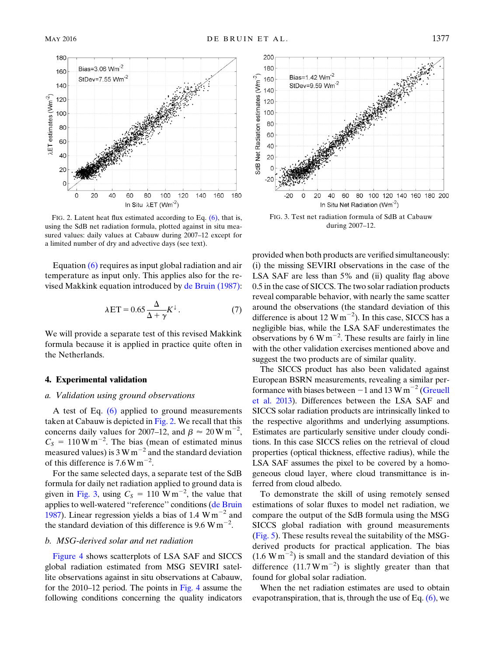<span id="page-4-0"></span>

FIG. 2. Latent heat flux estimated according to Eq. [\(6\),](#page-3-1) that is, using the SdB net radiation formula, plotted against in situ measured values: daily values at Cabauw during 2007–12 except for a limited number of dry and advective days (see text).

<span id="page-4-2"></span>Equation [\(6\)](#page-3-1) requires as input global radiation and air temperature as input only. This applies also for the revised Makkink equation introduced by [de Bruin \(1987\):](#page-8-5)

$$
\lambda ET = 0.65 \frac{\Delta}{\Delta + \gamma} K^{\perp}.
$$
 (7)

We will provide a separate test of this revised Makkink formula because it is applied in practice quite often in the Netherlands.

### 4. Experimental validation

## a. Validation using ground observations

A test of Eq.  $(6)$  applied to ground measurements taken at Cabauw is depicted in [Fig. 2](#page-4-0). We recall that this concerns daily values for 2007–12, and  $\beta \approx 20 \text{ W m}^{-2}$ ,<br>C<sub>2</sub> = 110 W m<sup>-2</sup>. The bias (mean of estimated minus  $C_S = 110 \,\mathrm{W m}^{-2}$ . The bias (mean of estimated minus measured values) is  $3 \text{ W m}^{-2}$  and the standard deviation of this difference is  $7.6 \text{ W m}^{-2}$ .

For the same selected days, a separate test of the SdB formula for daily net radiation applied to ground data is given in [Fig. 3](#page-4-1), using  $C_S = 110 \text{ W m}^{-2}$ , the value that applies to well-watered ''reference'' conditions [\(de Bruin](#page-8-5) [1987](#page-8-5)). Linear regression yields a bias of 1.4  $\text{W m}^{-2}$  and the standard deviation of this difference is  $9.6 \text{ W m}^{-2}$ .

### b. MSG-derived solar and net radiation

[Figure 4](#page-5-1) shows scatterplots of LSA SAF and SICCS global radiation estimated from MSG SEVIRI satellite observations against in situ observations at Cabauw, for the 2010–12 period. The points in [Fig. 4](#page-5-1) assume the following conditions concerning the quality indicators

<span id="page-4-1"></span>

FIG. 3. Test net radiation formula of SdB at Cabauw during 2007–12.

provided when both products are verified simultaneously: (i) the missing SEVIRI observations in the case of the LSA SAF are less than 5% and (ii) quality flag above 0.5 in the case of SICCS. The two solar radiation products reveal comparable behavior, with nearly the same scatter around the observations (the standard deviation of this difference is about 12  $\text{W m}^{-2}$ ). In this case, SICCS has a negligible bias, while the LSA SAF underestimates the observations by 6 W m<sup> $-2$ </sup>. These results are fairly in line with the other validation exercises mentioned above and suggest the two products are of similar quality.

The SICCS product has also been validated against European BSRN measurements, revealing a similar performance with biases between  $-1$  and 13 W m<sup>-2</sup> [\(Greuell](#page-9-8) [et al. 2013](#page-9-8)). Differences between the LSA SAF and SICCS solar radiation products are intrinsically linked to the respective algorithms and underlying assumptions. Estimates are particularly sensitive under cloudy conditions. In this case SICCS relies on the retrieval of cloud properties (optical thickness, effective radius), while the LSA SAF assumes the pixel to be covered by a homogeneous cloud layer, where cloud transmittance is inferred from cloud albedo.

To demonstrate the skill of using remotely sensed estimations of solar fluxes to model net radiation, we compare the output of the SdB formula using the MSG SICCS global radiation with ground measurements ([Fig. 5](#page-6-0)). These results reveal the suitability of the MSGderived products for practical application. The bias  $(1.6 \text{ W m}^{-2})$  is small and the standard deviation of this difference  $(11.7 \text{ W m}^{-2})$  is slightly greater than that found for global solar radiation.

When the net radiation estimates are used to obtain evapotranspiration, that is, through the use of Eq.  $(6)$ , we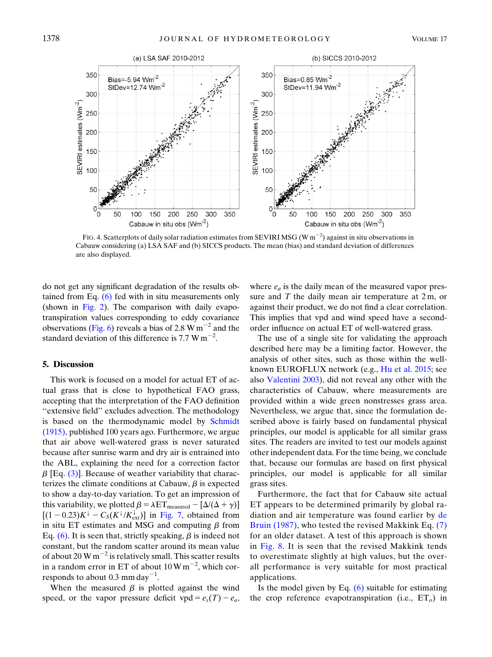<span id="page-5-1"></span>

FIG. 4. Scatterplots of daily solar radiation estimates from SEVIRI MSG (W m<sup>-2</sup>) against in situ observations in Cabauw considering (a) LSA SAF and (b) SICCS products. The mean (bias) and standard deviation of differences are also displayed.

do not get any significant degradation of the results obtained from Eq.  $(6)$  fed with in situ measurements only (shown in [Fig. 2\)](#page-4-0). The comparison with daily evapotranspiration values corresponding to eddy covariance observations ([Fig. 6](#page-6-1)) reveals a bias of 2.8 W  $\text{m}^{-2}$  and the standard deviation of this difference is 7.7 W  $\text{m}^{-2}$ .

### <span id="page-5-0"></span>5. Discussion

This work is focused on a model for actual ET of actual grass that is close to hypothetical FAO grass, accepting that the interpretation of the FAO definition "extensive field" excludes advection. The methodology is based on the thermodynamic model by [Schmidt](#page-9-3) [\(1915\)](#page-9-3), published 100 years ago. Furthermore, we argue that air above well-watered grass is never saturated because after sunrise warm and dry air is entrained into the ABL, explaining the need for a correction factor  $\beta$  [Eq. [\(3\)](#page-3-2)]. Because of weather variability that characterizes the climate conditions at Cabauw,  $\beta$  is expected to show a day-to-day variation. To get an impression of this variability, we plotted  $\beta = \lambda ET_{measured} - [\Delta/(\Delta + \gamma)]$  $[(1 - 0.23)K^{\downarrow} - C_S(K^{\downarrow}/K_{ext}^{\downarrow})]$  in [Fig. 7](#page-7-0), obtained from in situ ET estimates and MSG and computing  $\beta$  from Eq.  $(6)$ . It is seen that, strictly speaking,  $\beta$  is indeed not constant, but the random scatter around its mean value of about 20 W  $m^{-2}$  is relatively small. This scatter results in a random error in ET of about  $10 \,\mathrm{W\,m}^{-2}$ , which corresponds to about 0.3 mm day $^{-1}$ .

When the measured  $\beta$  is plotted against the wind speed, or the vapor pressure deficit vpd =  $e_s(T) - e_a$ ,

where  $e_a$  is the daily mean of the measured vapor pressure and  $T$  the daily mean air temperature at  $2m$ , or against their product, we do not find a clear correlation. This implies that vpd and wind speed have a secondorder influence on actual ET of well-watered grass.

The use of a single site for validating the approach described here may be a limiting factor. However, the analysis of other sites, such as those within the wellknown EUROFLUX network (e.g., [Hu et al. 2015;](#page-9-14) see also [Valentini 2003\)](#page-9-15), did not reveal any other with the characteristics of Cabauw, where measurements are provided within a wide green nonstresses grass area. Nevertheless, we argue that, since the formulation described above is fairly based on fundamental physical principles, our model is applicable for all similar grass sites. The readers are invited to test our models against other independent data. For the time being, we conclude that, because our formulas are based on first physical principles, our model is applicable for all similar grass sites.

Furthermore, the fact that for Cabauw site actual ET appears to be determined primarily by global radiation and air temperature was found earlier by [de](#page-8-5) [Bruin \(1987\)](#page-8-5), who tested the revised Makkink Eq. [\(7\)](#page-4-2) for an older dataset. A test of this approach is shown in [Fig. 8](#page-7-1). It is seen that the revised Makkink tends to overestimate slightly at high values, but the overall performance is very suitable for most practical applications.

Is the model given by Eq. [\(6\)](#page-3-1) suitable for estimating the crop reference evapotranspiration (i.e.,  $ET<sub>o</sub>$ ) in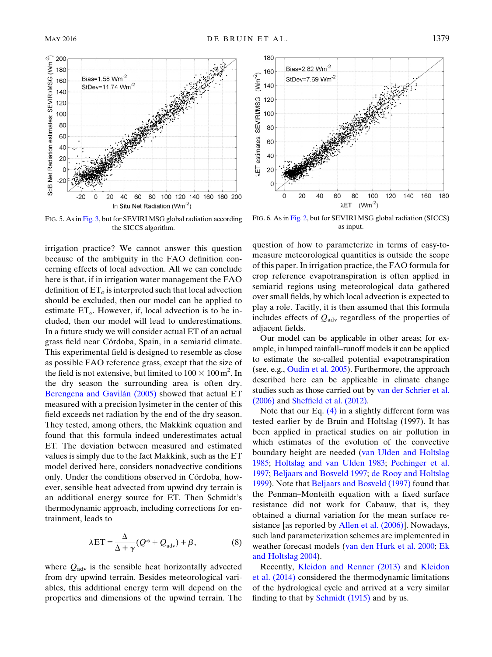<span id="page-6-0"></span>

FIG. 5. As in [Fig. 3,](#page-4-1) but for SEVIRI MSG global radiation according the SICCS algorithm.

irrigation practice? We cannot answer this question because of the ambiguity in the FAO definition concerning effects of local advection. All we can conclude here is that, if in irrigation water management the FAO definition of  $ET<sub>o</sub>$  is interpreted such that local advection should be excluded, then our model can be applied to estimate  $ET_{\alpha}$ . However, if, local advection is to be included, then our model will lead to underestimations. In a future study we will consider actual ET of an actual grass field near Córdoba, Spain, in a semiarid climate. This experimental field is designed to resemble as close as possible FAO reference grass, except that the size of the field is not extensive, but limited to  $100 \times 100$  m<sup>2</sup>. In the dry season the surrounding area is often dry. [Berengena and Gavil](#page-8-13)án (2005) showed that actual ET measured with a precision lysimeter in the center of this field exceeds net radiation by the end of the dry season. They tested, among others, the Makkink equation and found that this formula indeed underestimates actual ET. The deviation between measured and estimated values is simply due to the fact Makkink, such as the ET model derived here, considers nonadvective conditions only. Under the conditions observed in Córdoba, however, sensible heat advected from upwind dry terrain is an additional energy source for ET. Then Schmidt's thermodynamic approach, including corrections for entrainment, leads to

$$
\lambda ET = \frac{\Delta}{\Delta + \gamma} (Q^* + Q_{\text{adv}}) + \beta, \tag{8}
$$

<span id="page-6-2"></span>where  $Q_{\text{adv}}$  is the sensible heat horizontally advected from dry upwind terrain. Besides meteorological variables, this additional energy term will depend on the properties and dimensions of the upwind terrain. The

<span id="page-6-1"></span>

FIG. 6. As in [Fig. 2](#page-4-0), but for SEVIRI MSG global radiation (SICCS) as input.

question of how to parameterize in terms of easy-tomeasure meteorological quantities is outside the scope of this paper. In irrigation practice, the FAO formula for crop reference evapotranspiration is often applied in semiarid regions using meteorological data gathered over small fields, by which local advection is expected to play a role. Tacitly, it is then assumed that this formula includes effects of  $Q_{\text{adv}}$  regardless of the properties of adjacent fields.

Our model can be applicable in other areas; for example, in lumped rainfall–runoff models it can be applied to estimate the so-called potential evapotranspiration (see, e.g., [Oudin et al. 2005\)](#page-9-16). Furthermore, the approach described here can be applicable in climate change studies such as those carried out by [van der Schrier et al.](#page-9-17) [\(2006\)](#page-9-17) and [Sheffield et al. \(2012\).](#page-9-18)

Note that our Eq.  $(4)$  in a slightly different form was tested earlier by de Bruin and Holtslag (1997). It has been applied in practical studies on air pollution in which estimates of the evolution of the convective boundary height are needed ([van Ulden and Holtslag](#page-9-19) [1985;](#page-9-19) [Holtslag and van Ulden 1983;](#page-9-20) [Pechinger et al.](#page-9-21) [1997;](#page-9-21) [Beljaars and Bosveld 1997](#page-8-8); [de Rooy and Holtslag](#page-8-14) [1999\)](#page-8-14). Note that [Beljaars and Bosveld \(1997\)](#page-8-8) found that the Penman–Monteith equation with a fixed surface resistance did not work for Cabauw, that is, they obtained a diurnal variation for the mean surface re-sistance [as reported by [Allen et al. \(2006\)](#page-8-3)]. Nowadays, such land parameterization schemes are implemented in weather forecast models [\(van den Hurk et al. 2000;](#page-9-22) [Ek](#page-8-15) [and Holtslag 2004\)](#page-8-15).

Recently, [Kleidon and Renner \(2013\)](#page-9-23) and [Kleidon](#page-9-24) [et al. \(2014\)](#page-9-24) considered the thermodynamic limitations of the hydrological cycle and arrived at a very similar finding to that by **Schmidt** (1915) and by us.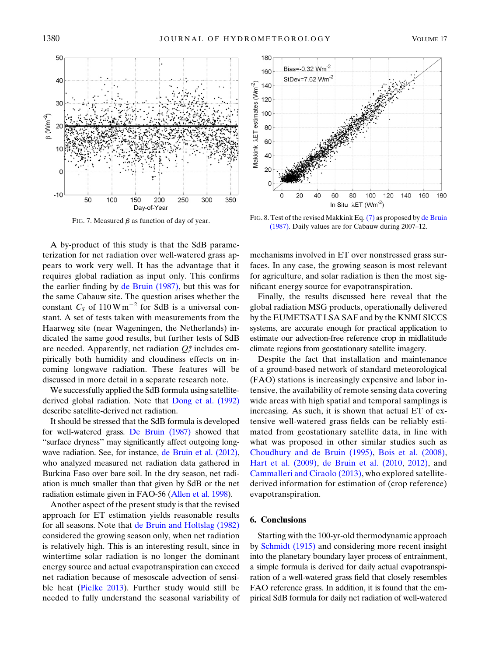<span id="page-7-0"></span>

FIG. 7. Measured  $\beta$  as function of day of year.

A by-product of this study is that the SdB parameterization for net radiation over well-watered grass appears to work very well. It has the advantage that it requires global radiation as input only. This confirms the earlier finding by [de Bruin \(1987\),](#page-8-5) but this was for the same Cabauw site. The question arises whether the constant  $C_S$  of 110 W m<sup>-2</sup> for SdB is a universal constant. A set of tests taken with measurements from the Haarweg site (near Wageningen, the Netherlands) indicated the same good results, but further tests of SdB are needed. Apparently, net radiation  $Q_r^*$  includes empirically both humidity and cloudiness effects on incoming longwave radiation. These features will be discussed in more detail in a separate research note.

We successfully applied the SdB formula using satellitederived global radiation. Note that [Dong et al. \(1992\)](#page-8-16) describe satellite-derived net radiation.

It should be stressed that the SdB formula is developed for well-watered grass. [De Bruin \(1987\)](#page-8-5) showed that ''surface dryness'' may significantly affect outgoing longwave radiation. See, for instance, [de Bruin et al. \(2012\),](#page-8-17) who analyzed measured net radiation data gathered in Burkina Faso over bare soil. In the dry season, net radiation is much smaller than that given by SdB or the net radiation estimate given in FAO-56 [\(Allen et al. 1998](#page-8-1)).

Another aspect of the present study is that the revised approach for ET estimation yields reasonable results for all seasons. Note that [de Bruin and Holtslag \(1982\)](#page-8-12) considered the growing season only, when net radiation is relatively high. This is an interesting result, since in wintertime solar radiation is no longer the dominant energy source and actual evapotranspiration can exceed net radiation because of mesoscale advection of sensible heat ([Pielke 2013](#page-9-25)). Further study would still be needed to fully understand the seasonal variability of

<span id="page-7-1"></span>

FIG. 8. Test of the revised Makkink Eq.[\(7\)](#page-4-2) as proposed by [de Bruin](#page-8-5) [\(1987\).](#page-8-5) Daily values are for Cabauw during 2007–12.

mechanisms involved in ET over nonstressed grass surfaces. In any case, the growing season is most relevant for agriculture, and solar radiation is then the most significant energy source for evapotranspiration.

Finally, the results discussed here reveal that the global radiation MSG products, operationally delivered by the EUMETSAT LSA SAF and by the KNMI SICCS systems, are accurate enough for practical application to estimate our advection-free reference crop in midlatitude climate regions from geostationary satellite imagery.

Despite the fact that installation and maintenance of a ground-based network of standard meteorological (FAO) stations is increasingly expensive and labor intensive, the availability of remote sensing data covering wide areas with high spatial and temporal samplings is increasing. As such, it is shown that actual ET of extensive well-watered grass fields can be reliably estimated from geostationary satellite data, in line with what was proposed in other similar studies such as [Choudhury and de Bruin \(1995\)](#page-8-18), [Bois et al. \(2008\),](#page-8-19) [Hart et al. \(2009\)](#page-9-26), [de Bruin et al. \(2010,](#page-8-20) [2012\)](#page-8-17), and [Cammalleri and Ciraolo \(2013\),](#page-8-21) who explored satellitederived information for estimation of (crop reference) evapotranspiration.

## 6. Conclusions

Starting with the 100-yr-old thermodynamic approach by [Schmidt \(1915\)](#page-9-3) and considering more recent insight into the planetary boundary layer process of entrainment, a simple formula is derived for daily actual evapotranspiration of a well-watered grass field that closely resembles FAO reference grass. In addition, it is found that the empirical SdB formula for daily net radiation of well-watered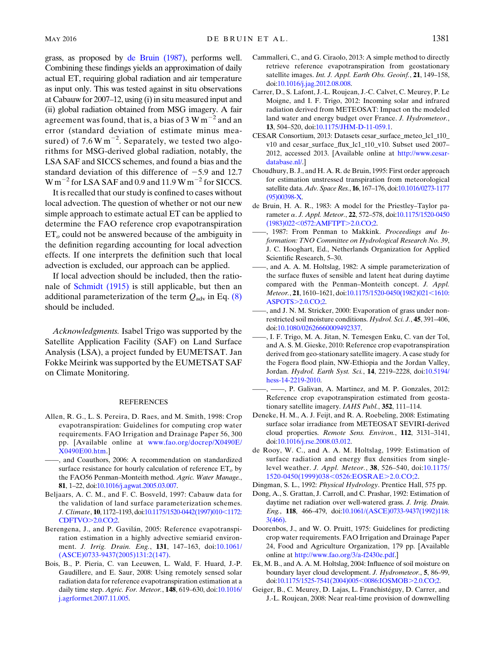grass, as proposed by [de Bruin \(1987\)](#page-8-5), performs well. Combining these findings yields an approximation of daily actual ET, requiring global radiation and air temperature as input only. This was tested against in situ observations at Cabauw for 2007–12, using (i) in situ measured input and (ii) global radiation obtained from MSG imagery. A fair agreement was found, that is, a bias of  $3 W m^{-2}$  and an error (standard deviation of estimate minus measured) of 7.6 W  $\text{m}^{-2}$ . Separately, we tested two algorithms for MSG-derived global radiation, notably, the LSA SAF and SICCS schemes, and found a bias and the standard deviation of this difference of  $-5.9$  and 12.7  $W \text{ m}^{-2}$  for LSA SAF and 0.9 and 11.9 W m<sup>-2</sup> for SICCS.

It is recalled that our study is confined to cases without local advection. The question of whether or not our new simple approach to estimate actual ET can be applied to determine the FAO reference crop evapotranspiration  $ET<sub>o</sub>$  could not be answered because of the ambiguity in the definition regarding accounting for local advection effects. If one interprets the definition such that local advection is excluded, our approach can be applied.

If local advection should be included, then the rationale of [Schmidt \(1915\)](#page-9-3) is still applicable, but then an additional parameterization of the term  $Q_{\text{adv}}$  in Eq. [\(8\)](#page-6-2) should be included.

Acknowledgments. Isabel Trigo was supported by the Satellite Application Facility (SAF) on Land Surface Analysis (LSA), a project funded by EUMETSAT. Jan Fokke Meirink was supported by the EUMETSAT SAF on Climate Monitoring.

### **REFERENCES**

- <span id="page-8-1"></span>Allen, R. G., L. S. Pereira, D. Raes, and M. Smith, 1998: Crop evapotranspiration: Guidelines for computing crop water requirements. FAO Irrigation and Drainage Paper 56, 300 pp. [Available online at [www.fao.org/docrep/X0490E/](http://www.fao.org/docrep/X0490E/X0490E00.htm) [X0490E00.htm](http://www.fao.org/docrep/X0490E/X0490E00.htm).]
- <span id="page-8-3"></span>——, and Coauthors, 2006: A recommendation on standardized surface resistance for hourly calculation of reference  $ET<sub>o</sub>$  by the FAO56 Penman-Monteith method. Agric. Water Manage., 81, 1–22, doi:[10.1016/j.agwat.2005.03.007](http://dx.doi.org/10.1016/j.agwat.2005.03.007).
- <span id="page-8-8"></span>Beljaars, A. C. M., and F. C. Bosveld, 1997: Cabauw data for the validation of land surface parameterization schemes. J. Climate, 10, 1172-1193, doi:[10.1175/1520-0442\(1997\)010](http://dx.doi.org/10.1175/1520-0442(1997)010<1172:CDFTVO>2.0.CO;2)<1172: [CDFTVO](http://dx.doi.org/10.1175/1520-0442(1997)010<1172:CDFTVO>2.0.CO;2)>2.0.CO;2.
- <span id="page-8-13"></span>Berengena, J., and P. Gavilán, 2005: Reference evapotranspiration estimation in a highly advective semiarid environ-ment. J. Irrig. Drain. Eng., 131, 147-163, doi:[10.1061/](http://dx.doi.org/10.1061/(ASCE)0733-9437(2005)131:2(147)) [\(ASCE\)0733-9437\(2005\)131:2\(147\).](http://dx.doi.org/10.1061/(ASCE)0733-9437(2005)131:2(147))
- <span id="page-8-19"></span>Bois, B., P. Pieria, C. van Leeuwen, L. Wald, F. Huard, J.-P. Gaudillere, and E. Saur, 2008: Using remotely sensed solar radiation data for reference evapotranspiration estimation at a daily time step. Agric. For. Meteor., 148, 619–630, doi:[10.1016/](http://dx.doi.org/10.1016/j.agrformet.2007.11.005) [j.agrformet.2007.11.005](http://dx.doi.org/10.1016/j.agrformet.2007.11.005).
- <span id="page-8-21"></span>Cammalleri, C., and G. Ciraolo, 2013: A simple method to directly retrieve reference evapotranspiration from geostationary satellite images. Int. J. Appl. Earth Obs. Geoinf., 21, 149-158, doi:[10.1016/j.jag.2012.08.008](http://dx.doi.org/10.1016/j.jag.2012.08.008).
- <span id="page-8-11"></span>Carrer, D., S. Lafont, J.-L. Roujean, J.-C. Calvet, C. Meurey, P. Le Moigne, and I. F. Trigo, 2012: Incoming solar and infrared radiation derived from METEOSAT: Impact on the modeled land water and energy budget over France. J. Hydrometeor., 13, 504–520, doi[:10.1175/JHM-D-11-059.1](http://dx.doi.org/10.1175/JHM-D-11-059.1).
- <span id="page-8-7"></span>CESAR Consortium, 2013: Datasets cesar\_surface\_meteo\_lc1\_t10\_ v10 and cesar\_surface\_flux\_lc1\_t10\_v10. Subset used 2007– 2012, accessed 2013. [Available online at [http://www.cesar](http://dx.doi.org/http://www.cesar-database.nl/)[database.nl/](http://dx.doi.org/http://www.cesar-database.nl/).]
- <span id="page-8-18"></span>Choudhury, B. J., and H. A. R. de Bruin, 1995: First order approach for estimation unstressed transpiration from meteorological satellite data. Adv. Space Res., 16, 167–176, doi:[10.1016/0273-1177](http://dx.doi.org/10.1016/0273-1177(95)00398-X) [\(95\)00398-X](http://dx.doi.org/10.1016/0273-1177(95)00398-X).
- <span id="page-8-4"></span>de Bruin, H. A. R., 1983: A model for the Priestley–Taylor parameter a. J. Appl. Meteor., <sup>22</sup>, 572–578, doi[:10.1175/1520-0450](http://dx.doi.org/10.1175/1520-0450(1983)022<0572:AMFTPT>2.0.CO;2) (1983)022<[0572:AMFTPT](http://dx.doi.org/10.1175/1520-0450(1983)022<0572:AMFTPT>2.0.CO;2)>2.0.CO;2.
- <span id="page-8-5"></span>-, 1987: From Penman to Makkink. Proceedings and Information: TNO Committee on Hydrological Research No. 39, J. C. Hooghart, Ed., Netherlands Organization for Applied Scientific Research, 5–30.
- <span id="page-8-12"></span>——, and A. A. M. Holtslag, 1982: A simple parameterization of the surface fluxes of sensible and latent heat during daytime compared with the Penman–Monteith concept. J. Appl. Meteor., 21, 1610-1621, doi:[10.1175/1520-0450\(1982\)021](http://dx.doi.org/10.1175/1520-0450(1982)021<1610:ASPOTS>2.0.CO;2)<1610: [ASPOTS](http://dx.doi.org/10.1175/1520-0450(1982)021<1610:ASPOTS>2.0.CO;2)>2.0.CO;2.
- <span id="page-8-6"></span>-, and J. N. M. Stricker, 2000: Evaporation of grass under nonrestricted soil moisture conditions. Hydrol. Sci. J., 45, 391–406, doi:[10.1080/02626660009492337](http://dx.doi.org/10.1080/02626660009492337).
- <span id="page-8-20"></span>——, I. F. Trigo, M. A. Jitan, N. Temesgen Enku, C. van der Tol, and A. S. M. Gieske, 2010: Reference crop evapotranspiration derived from geo-stationary satellite imagery. A case study for the Fogera flood plain, NW-Ethiopia and the Jordan Valley, Jordan. Hydrol. Earth Syst. Sci., 14, 2219–2228, doi[:10.5194/](http://dx.doi.org/10.5194/hess-14-2219-2010) [hess-14-2219-2010](http://dx.doi.org/10.5194/hess-14-2219-2010).
- <span id="page-8-17"></span>——, ——, P. Galivan, A. Martinez, and M. P. Gonzales, 2012: Reference crop evapotranspiration estimated from geostationary satellite imagery. IAHS Publ., 352, 111-114.
- <span id="page-8-10"></span>Deneke, H. M., A. J. Feijt, and R. A. Roebeling, 2008: Estimating surface solar irradiance from METEOSAT SEVIRI-derived cloud properties. Remote Sens. Environ., 112, 3131–3141, doi:[10.1016/j.rse.2008.03.012.](http://dx.doi.org/10.1016/j.rse.2008.03.012)
- <span id="page-8-14"></span>de Rooy, W. C., and A. A. M. Holtslag, 1999: Estimation of surface radiation and energy flux densities from singlelevel weather. J. Appl. Meteor., 38, 526–540, doi[:10.1175/](http://dx.doi.org/10.1175/1520-0450(1999)038<0526:EOSRAE>2.0.CO;2) [1520-0450\(1999\)038](http://dx.doi.org/10.1175/1520-0450(1999)038<0526:EOSRAE>2.0.CO;2)<0526:EOSRAE>2.0.CO;2.
- <span id="page-8-16"></span><span id="page-8-2"></span>Dingman, S. L., 1992: Physical Hydrology. Prentice Hall, 575 pp.
- Dong, A., S. Grattan, J. Carroll, and C. Prashar, 1992: Estimation of daytime net radiation over well-watered grass. J. Irrig. Drain. Eng., 118, 466–479, doi[:10.1061/\(ASCE\)0733-9437\(1992\)118:](http://dx.doi.org/10.1061/(ASCE)0733-9437(1992)118:3(466)) [3\(466\)](http://dx.doi.org/10.1061/(ASCE)0733-9437(1992)118:3(466)).
- <span id="page-8-0"></span>Doorenbos, J., and W. O. Pruitt, 1975: Guidelines for predicting crop water requirements. FAO Irrigation and Drainage Paper 24, Food and Agriculture Organization, 179 pp. [Available online at [http://www.fao.org/3/a-f2430e.pdf.](http://www.fao.org/3/a-f2430e.pdf)]
- <span id="page-8-15"></span>Ek, M. B., and A. A. M. Holtslag, 2004: Influence of soil moisture on boundary layer cloud development. J. Hydrometeor., 5, 86–99, doi[:10.1175/1525-7541\(2004\)005](http://dx.doi.org/10.1175/1525-7541(2004)005<0086:IOSMOB>2.0.CO;2)<0086:IOSMOB>2.0.CO;2.
- <span id="page-8-9"></span>Geiger, B., C. Meurey, D. Lajas, L. Franchistéguy, D. Carrer, and J.-L. Roujean, 2008: Near real-time provision of downwelling